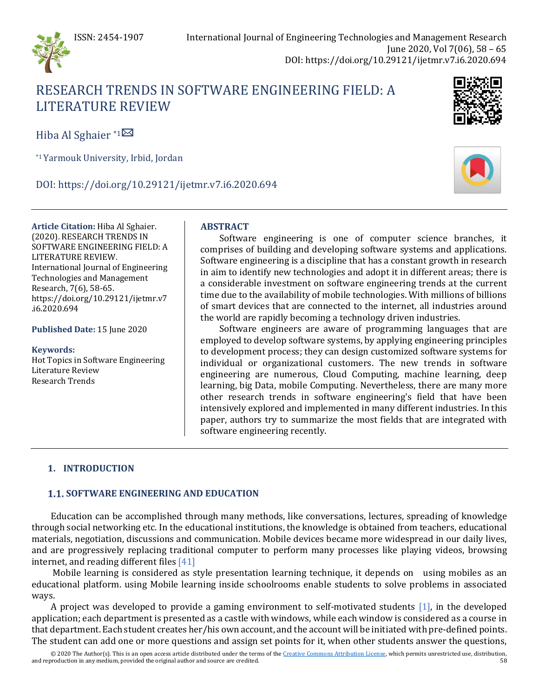

# RESEARCH TRENDS IN SOFTWARE ENGINEERING FIELD: A LITERATURE REVIEW

Hiba Al Sghaier \*[1](mailto:hibaal_sghaier@yahoo.com)

\*1Yarmouk University, Irbid, Jordan

DOI: https://doi.org/10.29121/ijetmr.v7.i6.2020.694



**Published Date:** 15 June 2020

**Keywords:** Hot Topics in Software Engineering Literature Review Research Trends

# **ABSTRACT**

Software engineering is one of computer science branches, it comprises of building and developing software systems and applications. Software engineering is a discipline that has a constant growth in research in aim to identify new technologies and adopt it in different areas; there is a considerable investment on software engineering trends at the current time due to the availability of mobile technologies. With millions of billions of smart devices that are connected to the internet, all industries around the world are rapidly becoming a technology driven industries.

Software engineers are aware of programming languages that are employed to develop software systems, by applying engineering principles to development process; they can design customized software systems for individual or organizational customers. The new trends in software engineering are numerous, Cloud Computing, machine learning, deep learning, big Data, mobile Computing. Nevertheless, there are many more other research trends in software engineering's field that have been intensively explored and implemented in many different industries. In this paper, authors try to summarize the most fields that are integrated with software engineering recently.

# **1. INTRODUCTION**

# **1.1. SOFTWARE ENGINEERING AND EDUCATION**

Education can be accomplished through many methods, like conversations, lectures, spreading of knowledge through social networking etc. In the educational institutions, the knowledge is obtained from teachers, educational materials, negotiation, discussions and communication. Mobile devices became more widespread in our daily lives, and are progressively replacing traditional computer to perform many processes like playing videos, browsing internet, and reading different file[s \[41\]](#page-6-0)

Mobile learning is considered as style presentation learning technique, it depends on using mobiles as an educational platform. using Mobile learning inside schoolrooms enable students to solve problems in associated ways.

A project was developed to provide a gaming environment to self-motivated students [\[1\],](#page-4-0) in the developed application; each department is presented as a castle with windows, while each window is considered as a course in that department. Each student creates her/his own account, and the account will be initiated with pre-defined points. The student can add one or more questions and assign set points for it, when other students answer the questions,

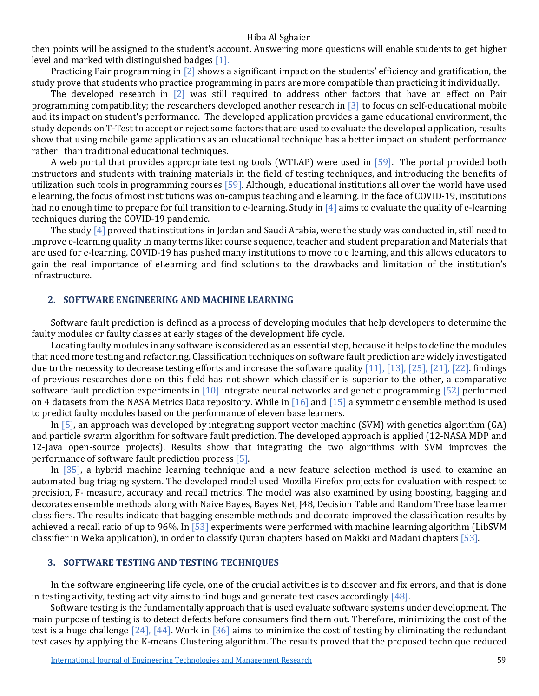then points will be assigned to the student's account. Answering more questions will enable students to get higher level and marked with distinguished badge[s \[1\].](#page-4-0)

Practicing Pair programming in [\[2\]](#page-4-1) shows a significant impact on the students' efficiency and gratification, the study prove that students who practice programming in pairs are more compatible than practicing it individually.

The developed research in [\[2\]](#page-4-1) was still required to address other factors that have an effect on Pair programming compatibility; the researchers developed another research i[n \[3\]](#page-4-2) to focus on self-educational mobile and its impact on student's performance. The developed application provides a game educational environment, the study depends on T-Test to accept or reject some factors that are used to evaluate the developed application, results show that using mobile game applications as an educational technique has a better impact on student performance rather than traditional educational techniques.

A web portal that provides appropriate testing tools (WTLAP) were used in [\[59\].](#page-7-0) The portal provided both instructors and students with training materials in the field of testing techniques, and introducing the benefits of utilization such tools in programming courses [\[59\].](#page-7-0) Although, educational institutions all over the world have used e learning, the focus of most institutions was on-campus teaching and e learning. In the face of COVID-19, institutions had no enough time to prepare for full transition to e-learning. Study i[n \[4\]](#page-4-3) aims to evaluate the quality of e-learning techniques during the COVID-19 pandemic.

The stud[y \[4\]](#page-4-3) proved that institutions in Jordan and Saudi Arabia, were the study was conducted in, still need to improve e-learning quality in many terms like: course sequence, teacher and student preparation and Materials that are used for e-learning. COVID-19 has pushed many institutions to move to e learning, and this allows educators to gain the real importance of eLearning and find solutions to the drawbacks and limitation of the institution's infrastructure.

### **2. SOFTWARE ENGINEERING AND MACHINE LEARNING**

Software fault prediction is defined as a process of developing modules that help developers to determine the faulty modules or faulty classes at early stages of the development life cycle.

Locating faulty modules in any software is considered as an essential step, because it helps to define the modules that need more testing and refactoring. Classification techniques on software fault prediction are widely investigated due to the necessity to decrease testing efforts and increase the software quality [\[11\],](#page-5-0) [\[13\],](#page-5-1) [\[25\],](#page-5-2) [\[21\],](#page-5-3) [\[22\].](#page-5-4) findings of previous researches done on this field has not shown which classifier is superior to the other, a comparative software fault prediction experiments in [\[10\]](#page-4-4) integrate neural networks and genetic programming [\[52\]](#page-7-1) performed on 4 datasets from the NASA Metrics Data repository. While in [\[16\]](#page-5-5) and [\[15\]](#page-5-6) a symmetric ensemble method is used to predict faulty modules based on the performance of eleven base learners.

In [\[5\],](#page-4-5) an approach was developed by integrating support vector machine (SVM) with genetics algorithm (GA) and particle swarm algorithm for software fault prediction. The developed approach is applied (12-NASA MDP and 12-Java open-source projects). Results show that integrating the two algorithms with SVM improves the performance of software fault prediction process [\[5\].](#page-4-5)

In [\[35\],](#page-6-1) a hybrid machine learning technique and a new feature selection method is used to examine an automated bug triaging system. The developed model used Mozilla Firefox projects for evaluation with respect to precision, F- measure, accuracy and recall metrics. The model was also examined by using boosting, bagging and decorates ensemble methods along with Naive Bayes, Bayes Net, J48, Decision Table and Random Tree base learner classifiers. The results indicate that bagging ensemble methods and decorate improved the classification results by achieved a recall ratio of up to 96%. I[n \[53\]](#page-7-2) experiments were performed with machine learning algorithm (LibSVM classifier in Weka application), in order to classify Quran chapters based on Makki and Madani chapter[s \[53\].](#page-7-2)

#### **3. SOFTWARE TESTING AND TESTING TECHNIQUES**

In the software engineering life cycle, one of the crucial activities is to discover and fix errors, and that is done in testing activity, testing activity aims to find bugs and generate test cases accordingl[y \[48\].](#page-6-2)

Software testing is the fundamentally approach that is used evaluate software systems under development. The main purpose of testing is to detect defects before consumers find them out. Therefore, minimizing the cost of the test is a huge challenge [\[24\],](#page-5-7) [\[44\].](#page-6-3) Work in [\[36\]](#page-6-4) aims to minimize the cost of testing by eliminating the redundant test cases by applying the K-means Clustering algorithm. The results proved that the proposed technique reduced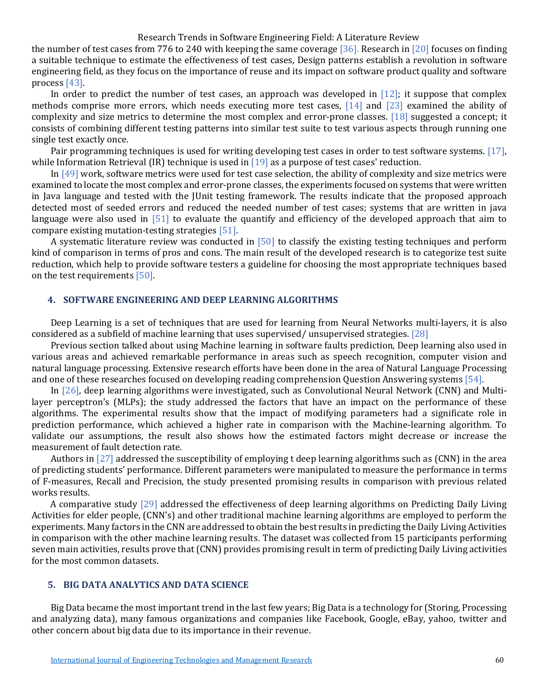#### Research Trends in Software Engineering Field: A Literature Review

the number of test cases from 776 to 240 with keeping the same coverage [\[36\].](#page-6-4) Research in [\[20\]](#page-5-8) focuses on finding a suitable technique to estimate the effectiveness of test cases, Design patterns establish a revolution in software engineering field, as they focus on the importance of reuse and its impact on software product quality and software proces[s \[43\].](#page-6-5)

In order to predict the number of test cases, an approach was developed in  $[12]$ ; it suppose that complex methods comprise more errors, which needs executing more test cases,  $[14]$  and  $[23]$  examined the ability of complexity and size metrics to determine the most complex and error-prone classes. [\[18\]](#page-5-12) suggested a concept; it consists of combining different testing patterns into similar test suite to test various aspects through running one single test exactly once.

Pair programming techniques is used for writing developing test cases in order to test software systems. [\[17\],](#page-5-13)  while Information Retrieval (IR) technique is used in  $[19]$  as a purpose of test cases' reduction.

I[n \[49\]](#page-6-6) work, software metrics were used for test case selection, the ability of complexity and size metrics were examined to locate the most complex and error-prone classes, the experiments focused on systems that were written in Java language and tested with the JUnit testing framework. The results indicate that the proposed approach detected most of seeded errors and reduced the needed number of test cases; systems that are written in java language were also used in [\[51\]](#page-6-7) to evaluate the quantify and efficiency of the developed approach that aim to compare existing mutation-testing strategie[s \[51\].](#page-6-7)

A systematic literature review was conducted in  $[50]$  to classify the existing testing techniques and perform kind of comparison in terms of pros and cons. The main result of the developed research is to categorize test suite reduction, which help to provide software testers a guideline for choosing the most appropriate techniques based on the test requirements [\[50\].](#page-6-8)

### **4. SOFTWARE ENGINEERING AND DEEP LEARNING ALGORITHMS**

Deep Learning is a set of techniques that are used for learning from Neural Networks multi-layers, it is also considered as a subfield of machine learning that uses supervised/ unsupervised strategies[. \[28\]](#page-5-15)

Previous section talked about using Machine learning in software faults prediction, Deep learning also used in various areas and achieved remarkable performance in areas such as speech recognition, computer vision and natural language processing. Extensive research efforts have been done in the area of Natural Language Processing and one of these researches focused on developing reading comprehension Question Answering systems [\[54\].](#page-7-3)

In [\[26\],](#page-5-16) deep learning algorithms were investigated, such as Convolutional Neural Network (CNN) and Multilayer perceptron's (MLPs); the study addressed the factors that have an impact on the performance of these algorithms. The experimental results show that the impact of modifying parameters had a significate role in prediction performance, which achieved a higher rate in comparison with the Machine-learning algorithm. To validate our assumptions, the result also shows how the estimated factors might decrease or increase the measurement of fault detection rate.

Authors i[n \[27\]](#page-5-17) addressed the susceptibility of employing t deep learning algorithms such as (CNN) in the area of predicting students' performance. Different parameters were manipulated to measure the performance in terms of F-measures, Recall and Precision, the study presented promising results in comparison with previous related works results.

A comparative study [\[29\]](#page-5-18) addressed the effectiveness of deep learning algorithms on Predicting Daily Living Activities for elder people, (CNN's) and other traditional machine learning algorithms are employed to perform the experiments. Many factors in the CNN are addressed to obtain the best results in predicting the Daily Living Activities in comparison with the other machine learning results. The dataset was collected from 15 participants performing seven main activities, results prove that (CNN) provides promising result in term of predicting Daily Living activities for the most common datasets.

# **5. BIG DATA ANALYTICS AND DATA SCIENCE**

Big Data became the most important trend in the last few years; Big Data is a technology for (Storing, Processing and analyzing data), many famous organizations and companies like Facebook, Google, eBay, yahoo, twitter and other concern about big data due to its importance in their revenue.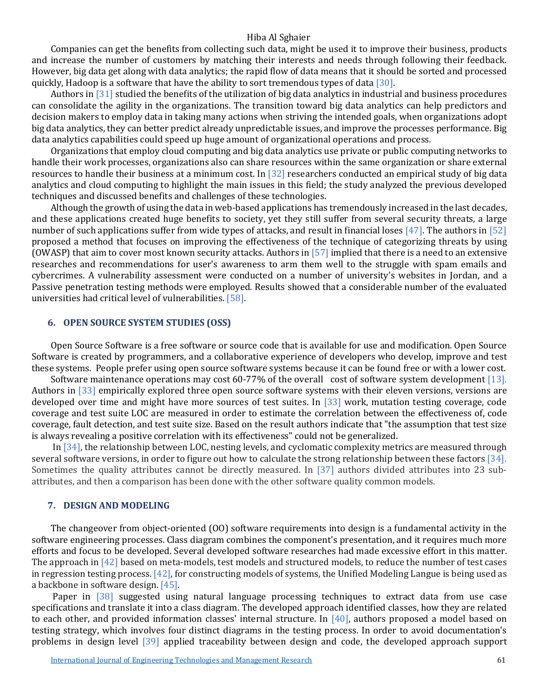Companies can get the benefits from collecting such data, might be used it to improve their business, products and increase the number of customers by matching their interests and needs through following their feedback. However, big data get along with data analytics; the rapid flow of data means that it should be sorted and processed quickly, Hadoop is a software that have the ability to sort tremendous types of data [\[30\].](#page-5-19)

Authors in [\[31\]](#page-6-9) studied the benefits of the utilization of big data analytics in industrial and business procedures can consolidate the agility in the organizations. The transition toward big data analytics can help predictors and decision makers to employ data in taking many actions when striving the intended goals, when organizations adopt big data analytics, they can better predict already unpredictable issues, and improve the processes performance. Big data analytics capabilities could speed up huge amount of organizational operations and process.

Organizations that employ cloud computing and big data analytics use private or public computing networks to handle their work processes, organizations also can share resources within the same organization or share external resources to handle their business at a minimum cost. In [\[32\]](#page-6-10) researchers conducted an empirical study of big data analytics and cloud computing to highlight the main issues in this field; the study analyzed the previous developed techniques and discussed benefits and challenges of these technologies.

Although the growth of using the data in web-based applications has tremendously increased in the last decades, and these applications created huge benefits to society, yet they still suffer from several security threats, a large number of such applications suffer from wide types of attacks, and result in financial lose[s \[47\].](#page-6-11) The authors in [\[52\]](#page-7-1) proposed a method that focuses on improving the effectiveness of the technique of categorizing threats by using (OWASP) that aim to cover most known security attacks. Authors in [\[57\]](#page-7-4) implied that there is a need to an extensive researches and recommendations for user's awareness to arm them well to the struggle with spam emails and cybercrimes. A vulnerability assessment were conducted on a number of university's websites in Jordan, and a Passive penetration testing methods were employed. Results showed that a considerable number of the evaluated universities had critical level of vulnerabilities[. \[58\].](#page-7-5)

#### **6. OPEN SOURCE SYSTEM STUDIES (OSS)**

Open Source Software is a free software or source code that is available for use and modification. Open Source Software is created by programmers, and a collaborative experience of developers who develop, improve and test these systems. People prefer using open source software systems because it can be found free or with a lower cost.

Software maintenance operations may cost 60-77% of the overall cost of software system development [\[13\].](#page-5-1) Authors in [\[33\]](#page-6-12) empirically explored three open source software systems with their eleven versions, versions are developed over time and might have more sources of test suites. In [\[33\]](#page-6-12) work, mutation testing coverage, code coverage and test suite LOC are measured in order to estimate the correlation between the effectiveness of, code coverage, fault detection, and test suite size. Based on the result authors indicate that "the assumption that test size is always revealing a positive correlation with its effectiveness" could not be generalized.

In [\[34\],](#page-6-13) the relationship between LOC, nesting levels, and cyclomatic complexity metrics are measured through several software versions, in order to figure out how to calculate the strong relationship between these factors [\[34\].](#page-6-13) Sometimes the quality attributes cannot be directly measured. In [\[37\]](#page-6-14) authors divided attributes into 23 subattributes, and then a comparison has been done with the other software quality common models.

#### **7. DESIGN AND MODELING**

The changeover from object-oriented (OO) software requirements into design is a fundamental activity in the software engineering processes. Class diagram combines the component's presentation, and it requires much more efforts and focus to be developed. Several developed software researches had made excessive effort in this matter. The approach i[n \[42\]](#page-6-15) based on meta-models, test models and structured models, to reduce the number of test cases in regression testing process.  $[42]$ , for constructing models of systems, the Unified Modeling Langue is being used as a backbone in software design[. \[45\].](#page-6-16)

Paper in [\[38\]](#page-6-17) suggested using natural language processing techniques to extract data from use case specifications and translate it into a class diagram. The developed approach identified classes, how they are related to each other, and provided information classes' internal structure. In [\[40\],](#page-6-18) authors proposed a model based on testing strategy, which involves four distinct diagrams in the testing process. In order to avoid documentation's problems in design level [\[39\]](#page-6-19) applied traceability between design and code, the developed approach support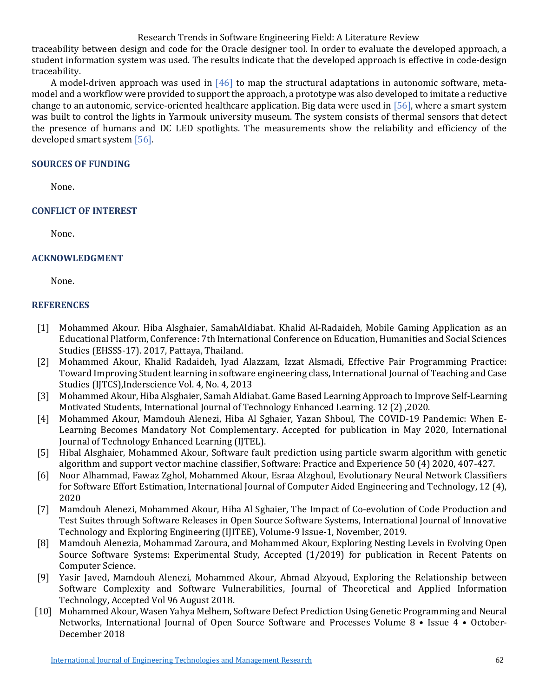# Research Trends in Software Engineering Field: A Literature Review

traceability between design and code for the Oracle designer tool. In order to evaluate the developed approach, a student information system was used. The results indicate that the developed approach is effective in code-design traceability.

A model-driven approach was used in  $[46]$  to map the structural adaptations in autonomic software, metamodel and a workflow were provided to support the approach, a prototype was also developed to imitate a reductive change to an autonomic, service-oriented healthcare application. Big data were used in [\[56\],](#page-7-6) where a smart system was built to control the lights in Yarmouk university museum. The system consists of thermal sensors that detect the presence of humans and DC LED spotlights. The measurements show the reliability and efficiency of the developed smart system [\[56\].](#page-7-6)

# **SOURCES OF FUNDING**

None.

# **CONFLICT OF INTEREST**

None.

# **ACKNOWLEDGMENT**

None.

# **REFERENCES**

- <span id="page-4-0"></span>[1] Mohammed Akour. Hiba Alsghaier, SamahAldiabat. Khalid Al-Radaideh, Mobile Gaming Application as an Educational Platform, Conference: 7th International Conference on Education, Humanities and Social Sciences Studies (EHSSS-17). 2017, Pattaya, Thailand.
- <span id="page-4-1"></span>[2] Mohammed Akour, Khalid Radaideh, Iyad Alazzam, Izzat Alsmadi, Effective Pair Programming Practice: Toward Improving Student learning in software engineering class, International Journal of Teaching and Case Studies (IJTCS),Inderscience Vol. 4, No. 4, 2013
- <span id="page-4-2"></span>[3] Mohammed Akour, Hiba Alsghaier, Samah Aldiabat. Game Based Learning Approach to Improve Self-Learning Motivated Students, International Journal of Technology Enhanced Learning. 12 (2) ,2020.
- <span id="page-4-3"></span>[4] Mohammed Akour, Mamdouh Alenezi, Hiba Al Sghaier, Yazan Shboul, The COVID-19 Pandemic: When E-Learning Becomes Mandatory Not Complementary. Accepted for publication in May 2020, International Journal of Technology Enhanced Learning (IJTEL).
- <span id="page-4-5"></span>[5] Hibal Alsghaier, Mohammed Akour, Software fault prediction using particle swarm algorithm with genetic algorithm and support vector machine classifier, Software: Practice and Experience 50 (4) 2020, 407-427.
- [6] Noor Alhammad, Fawaz Zghol, Mohammed Akour, Esraa Alzghoul, Evolutionary Neural Network Classifiers for Software Effort Estimation, International Journal of Computer Aided Engineering and Technology, 12 (4), 2020
- [7] Mamdouh Alenezi, Mohammed Akour, Hiba Al Sghaier, The Impact of Co-evolution of Code Production and Test Suites through Software Releases in Open Source Software Systems, International Journal of Innovative Technology and Exploring Engineering (IJITEE), Volume-9 Issue-1, November, 2019.
- [8] Mamdouh Alenezia, Mohammad Zaroura, and Mohammed Akour, Exploring Nesting Levels in Evolving Open Source Software Systems: Experimental Study, Accepted (1/2019) for publication in Recent Patents on Computer Science.
- [9] Yasir Javed, Mamdouh Alenezi, Mohammed Akour, Ahmad Alzyoud, Exploring the Relationship between Software Complexity and Software Vulnerabilities, Journal of Theoretical and Applied Information Technology, Accepted Vol 96 August 2018.
- <span id="page-4-4"></span>[10] Mohammed Akour, Wasen Yahya Melhem, Software Defect Prediction Using Genetic Programming and Neural Networks, International Journal of Open Source Software and Processes Volume 8 • Issue 4 • October-December 2018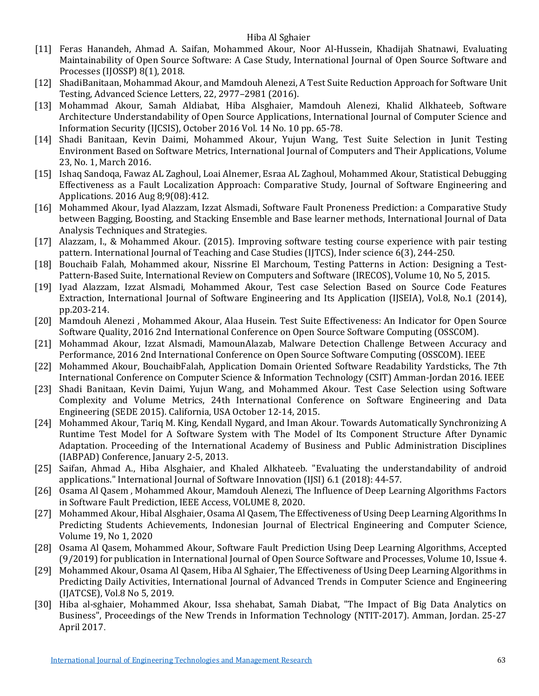- <span id="page-5-0"></span>[11] Feras Hanandeh, Ahmad A. Saifan, Mohammed Akour, Noor Al-Hussein, Khadijah Shatnawi, Evaluating Maintainability of Open Source Software: A Case Study, International Journal of Open Source Software and Processes (IJOSSP) 8(1), 2018.
- <span id="page-5-9"></span>[12] ShadiBanitaan, Mohammad Akour, and Mamdouh Alenezi, A Test Suite Reduction Approach for Software Unit Testing, Advanced Science Letters, 22, 2977–2981 (2016).
- <span id="page-5-1"></span>[13] Mohammad Akour, Samah Aldiabat, Hiba Alsghaier, Mamdouh Alenezi, Khalid Alkhateeb, Software Architecture Understandability of Open Source Applications, International Journal of Computer Science and Information Security (IJCSIS), October 2016 Vol. 14 No. 10 pp. 65-78.
- <span id="page-5-10"></span>[14] Shadi Banitaan, Kevin Daimi, Mohammed Akour, Yujun Wang, Test Suite Selection in Junit Testing Environment Based on Software Metrics, International Journal of Computers and Their Applications, Volume 23, No. 1, March 2016.
- <span id="page-5-6"></span>[15] Ishaq Sandoqa, Fawaz AL Zaghoul, Loai Alnemer, Esraa AL Zaghoul, Mohammed Akour, Statistical Debugging Effectiveness as a Fault Localization Approach: Comparative Study, Journal of Software Engineering and Applications. 2016 Aug 8;9(08):412.
- <span id="page-5-5"></span>[16] Mohammed Akour, Iyad Alazzam, Izzat Alsmadi, Software Fault Proneness Prediction: a Comparative Study between Bagging, Boosting, and Stacking Ensemble and Base learner methods, International Journal of Data Analysis Techniques and Strategies.
- <span id="page-5-13"></span>[17] Alazzam, I., & Mohammed Akour. (2015). Improving software testing course experience with pair testing pattern. International Journal of Teaching and Case Studies (IJTCS), Inder science 6(3), 244-250.
- <span id="page-5-12"></span>[18] Bouchaib Falah, Mohammed akour, Nissrine El Marchoum, Testing Patterns in Action: Designing a Test-Pattern-Based Suite, International Review on Computers and Software (IRECOS), Volume 10, No 5, 2015.
- <span id="page-5-14"></span>[19] Iyad Alazzam, Izzat Alsmadi, Mohammed Akour, Test case Selection Based on Source Code Features Extraction, International Journal of Software Engineering and Its Application (IJSEIA), Vol.8, No.1 (2014), pp.203-214.
- <span id="page-5-8"></span>[20] Mamdouh Alenezi , Mohammed Akour, Alaa Husein. Test Suite Effectiveness: An Indicator for Open Source Software Quality, 2016 2nd International Conference on Open Source Software Computing (OSSCOM).
- <span id="page-5-3"></span>[21] Mohammad Akour, Izzat Alsmadi, MamounAlazab, Malware Detection Challenge Between Accuracy and Performance, 2016 2nd International Conference on Open Source Software Computing (OSSCOM). IEEE
- <span id="page-5-4"></span>[22] Mohammed Akour, BouchaibFalah, Application Domain Oriented Software Readability Yardsticks, The 7th International Conference on Computer Science & Information Technology (CSIT) Amman-Jordan 2016. IEEE
- <span id="page-5-11"></span>[23] Shadi Banitaan, Kevin Daimi, Yujun Wang, and Mohammed Akour. Test Case Selection using Software Complexity and Volume Metrics, 24th International Conference on Software Engineering and Data Engineering (SEDE 2015). California, USA October 12-14, 2015.
- <span id="page-5-7"></span>[24] Mohammed Akour, Tariq M. King, Kendall Nygard, and Iman Akour. Towards Automatically Synchronizing A Runtime Test Model for A Software System with The Model of Its Component Structure After Dynamic Adaptation. Proceeding of the International Academy of Business and Public Administration Disciplines (IABPAD) Conference, January 2-5, 2013.
- <span id="page-5-2"></span>[25] Saifan, Ahmad A., Hiba Alsghaier, and Khaled Alkhateeb. "Evaluating the understandability of android applications." International Journal of Software Innovation (IJSI) 6.1 (2018): 44-57.
- <span id="page-5-16"></span>[26] Osama Al Qasem , Mohammed Akour, Mamdouh Alenezi, The Influence of Deep Learning Algorithms Factors in Software Fault Prediction, IEEE Access, VOLUME 8, 2020.
- <span id="page-5-17"></span>[27] Mohammed Akour, Hibal Alsghaier, Osama Al Qasem, The Effectiveness of Using Deep Learning Algorithms In Predicting Students Achievements, Indonesian Journal of Electrical Engineering and Computer Science, Volume 19, No 1, 2020
- <span id="page-5-15"></span>[28] Osama Al Qasem, Mohammed Akour, Software Fault Prediction Using Deep Learning Algorithms, Accepted (9/2019) for publication in International Journal of Open Source Software and Processes, Volume 10, Issue 4.
- <span id="page-5-18"></span>[29] Mohammed Akour, Osama Al Qasem, Hiba Al Sghaier, The Effectiveness of Using Deep Learning Algorithms in Predicting Daily Activities, International Journal of Advanced Trends in Computer Science and Engineering (IJATCSE), Vol.8 No 5, 2019.
- <span id="page-5-19"></span>[30] Hiba al-sghaier, Mohammed Akour, Issa shehabat, Samah Diabat, "The Impact of Big Data Analytics on Business", Proceedings of the New Trends in Information Technology (NTIT-2017). Amman, Jordan. 25-27 April 2017.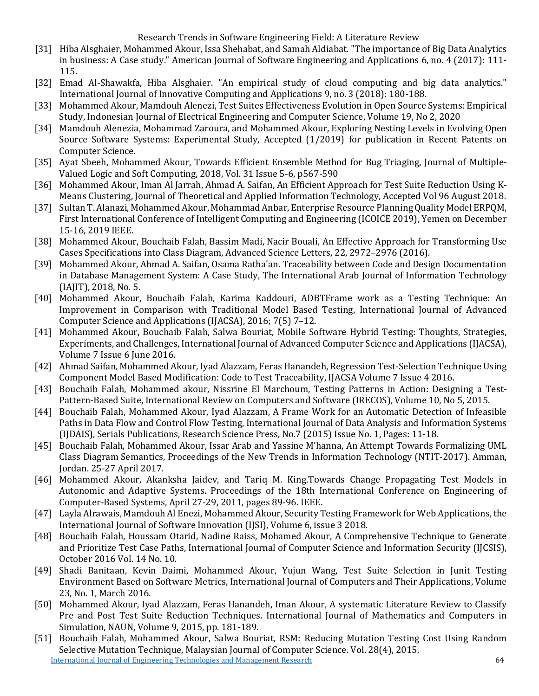# Research Trends in Software Engineering Field: A Literature Review

- <span id="page-6-9"></span>[31] Hiba Alsghaier, Mohammed Akour, Issa Shehabat, and Samah Aldiabat. "The importance of Big Data Analytics in business: A Case study." American Journal of Software Engineering and Applications 6, no. 4 (2017): 111- 115.
- <span id="page-6-10"></span>[32] Emad Al-Shawakfa, Hiba Alsghaier. "An empirical study of cloud computing and big data analytics." International Journal of Innovative Computing and Applications 9, no. 3 (2018): 180-188.
- <span id="page-6-12"></span>[33] Mohammed Akour, Mamdouh Alenezi, Test Suites Effectiveness Evolution in Open Source Systems: Empirical Study, Indonesian Journal of Electrical Engineering and Computer Science, Volume 19, No 2, 2020
- <span id="page-6-13"></span>[34] Mamdouh Alenezia, Mohammad Zaroura, and Mohammed Akour, Exploring Nesting Levels in Evolving Open Source Software Systems: Experimental Study, Accepted (1/2019) for publication in Recent Patents on Computer Science.
- <span id="page-6-1"></span>[35] Ayat Sbeeh, Mohammed Akour, Towards Efficient Ensemble Method for Bug Triaging, Journal of Multiple-Valued Logic and Soft Computing, 2018, Vol. 31 Issue 5-6, p567-590
- <span id="page-6-4"></span>[36] Mohammed Akour, Iman Al Jarrah, Ahmad A. Saifan, An Efficient Approach for Test Suite Reduction Using K-Means Clustering, Journal of Theoretical and Applied Information Technology, Accepted Vol 96 August 2018.
- <span id="page-6-14"></span>[37] Sultan T. Alanazi, Mohammed Akour, Mohammad Anbar, Enterprise Resource Planning Quality Model ERPQM, First International Conference of Intelligent Computing and Engineering (ICOICE 2019), Yemen on December 15-16, 2019 IEEE.
- <span id="page-6-17"></span>[38] Mohammed Akour, Bouchaib Falah, Bassim Madi, Nacir Bouali, An Effective Approach for Transforming Use Cases Specifications into Class Diagram, Advanced Science Letters, 22, 2972–2976 (2016).
- <span id="page-6-19"></span>[39] Mohammed Akour, Ahmad A. Saifan, Osama Ratha'an. Traceability between Code and Design Documentation in Database Management System: A Case Study, The International Arab Journal of Information Technology (IAJIT), 2018, No. 5.
- <span id="page-6-18"></span>[40] Mohammed Akour, Bouchaib Falah, Karima Kaddouri, ADBTFrame work as a Testing Technique: An Improvement in Comparison with Traditional Model Based Testing, International Journal of Advanced Computer Science and Applications (IJACSA), 2016; 7(5) 7–12.
- <span id="page-6-0"></span>[41] Mohammed Akour, Bouchaib Falah, Salwa Bouriat, Mobile Software Hybrid Testing: Thoughts, Strategies, Experiments, and Challenges, International Journal of Advanced Computer Science and Applications (IJACSA), Volume 7 Issue 6 June 2016.
- <span id="page-6-15"></span>[42] Ahmad Saifan, Mohammed Akour, Iyad Alazzam, Feras Hanandeh, Regression Test-Selection Technique Using Component Model Based Modification: Code to Test Traceability, IJACSA Volume 7 Issue 4 2016.
- <span id="page-6-5"></span>[43] Bouchaib Falah, Mohammed akour, Nissrine El Marchoum, Testing Patterns in Action: Designing a Test-Pattern-Based Suite, International Review on Computers and Software (IRECOS), Volume 10, No 5, 2015.
- <span id="page-6-3"></span>[44] Bouchaib Falah, Mohammed Akour, Iyad Alazzam, A Frame Work for an Automatic Detection of Infeasible Paths in Data Flow and Control Flow Testing, International Journal of Data Analysis and Information Systems (IJDAIS), Serials Publications, Research Science Press, No.7 (2015) Issue No. 1, Pages: 11-18.
- <span id="page-6-16"></span>[45] Bouchaib Falah, Mohammed Akour, Issar Arab and Yassine M'hanna, An Attempt Towards Formalizing UML Class Diagram Semantics, Proceedings of the New Trends in Information Technology (NTIT-2017). Amman, Jordan. 25-27 April 2017.
- <span id="page-6-20"></span>[46] Mohammed Akour, Akanksha Jaidev, and Tariq M. King.Towards Change Propagating Test Models in Autonomic and Adaptive Systems. Proceedings of the 18th International Conference on Engineering of Computer-Based Systems, April 27-29, 2011, pages 89-96. IEEE.
- <span id="page-6-11"></span>[47] Layla Alrawais, Mamdouh Al Enezi, Mohammed Akour, Security Testing Framework for Web Applications, the International Journal of Software Innovation (IJSI), Volume 6, issue 3 2018.
- <span id="page-6-2"></span>[48] Bouchaib Falah, Houssam Otarid, Nadine Raiss, Mohamed Akour, A Comprehensive Technique to Generate and Prioritize Test Case Paths, International Journal of Computer Science and Information Security (IJCSIS), October 2016 Vol. 14 No. 10.
- <span id="page-6-6"></span>[49] Shadi Banitaan, Kevin Daimi, Mohammed Akour, Yujun Wang, Test Suite Selection in Junit Testing Environment Based on Software Metrics, International Journal of Computers and Their Applications, Volume 23, No. 1, March 2016.
- <span id="page-6-8"></span>[50] Mohammed Akour, Iyad Alazzam, Feras Hanandeh, Iman Akour, A systematic Literature Review to Classify Pre and Post Test Suite Reduction Techniques. International Journal of Mathematics and Computers in Simulation, NAUN, Volume 9, 2015, pp. 181-189.
- <span id="page-6-7"></span>[International Journal of Engineering Technologies and Management Research](https://www.granthaalayahpublication.org/ijetmr-ojms/index.php/ijetmr) 64 [51] Bouchaib Falah, Mohammed Akour, Salwa Bouriat, RSM: Reducing Mutation Testing Cost Using Random Selective Mutation Technique, Malaysian Journal of Computer Science. Vol. 28(4), 2015.